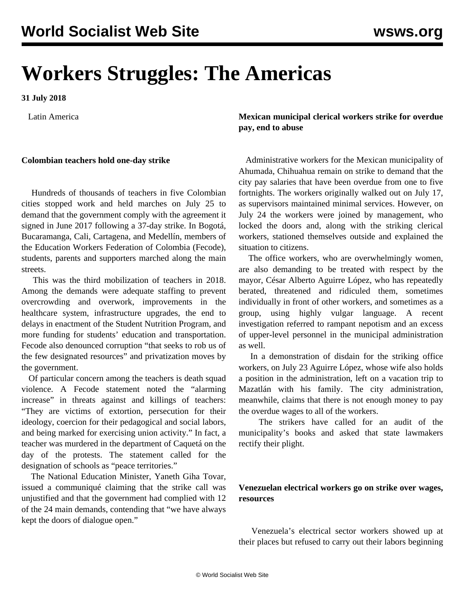# **Workers Struggles: The Americas**

**31 July 2018**

Latin America

#### **Colombian teachers hold one-day strike**

 Hundreds of thousands of teachers in five Colombian cities stopped work and held marches on July 25 to demand that the government comply with the agreement it signed in June 2017 following a 37-day strike. In Bogotá, Bucaramanga, Cali, Cartagena, and Medellín, members of the Education Workers Federation of Colombia (Fecode), students, parents and supporters marched along the main streets.

 This was the third mobilization of teachers in 2018. Among the demands were adequate staffing to prevent overcrowding and overwork, improvements in the healthcare system, infrastructure upgrades, the end to delays in enactment of the Student Nutrition Program, and more funding for students' education and transportation. Fecode also denounced corruption "that seeks to rob us of the few designated resources" and privatization moves by the government.

 Of particular concern among the teachers is death squad violence. A Fecode statement noted the "alarming increase" in threats against and killings of teachers: "They are victims of extortion, persecution for their ideology, coercion for their pedagogical and social labors, and being marked for exercising union activity." In fact, a teacher was murdered in the department of Caquetá on the day of the protests. The statement called for the designation of schools as "peace territories."

 The National Education Minister, Yaneth Giha Tovar, issued a communiqué claiming that the strike call was unjustified and that the government had complied with 12 of the 24 main demands, contending that "we have always kept the doors of dialogue open."

**Mexican municipal clerical workers strike for overdue pay, end to abuse**

 Administrative workers for the Mexican municipality of Ahumada, Chihuahua remain on strike to demand that the city pay salaries that have been overdue from one to five fortnights. The workers originally walked out on July 17, as supervisors maintained minimal services. However, on July 24 the workers were joined by management, who locked the doors and, along with the striking clerical workers, stationed themselves outside and explained the situation to citizens.

 The office workers, who are overwhelmingly women, are also demanding to be treated with respect by the mayor, César Alberto Aguirre López, who has repeatedly berated, threatened and ridiculed them, sometimes individually in front of other workers, and sometimes as a group, using highly vulgar language. A recent investigation referred to rampant nepotism and an excess of upper-level personnel in the municipal administration as well.

 In a demonstration of disdain for the striking office workers, on July 23 Aguirre López, whose wife also holds a position in the administration, left on a vacation trip to Mazatlán with his family. The city administration, meanwhile, claims that there is not enough money to pay the overdue wages to all of the workers.

 The strikers have called for an audit of the municipality's books and asked that state lawmakers rectify their plight.

### **Venezuelan electrical workers go on strike over wages, resources**

 Venezuela's electrical sector workers showed up at their places but refused to carry out their labors beginning